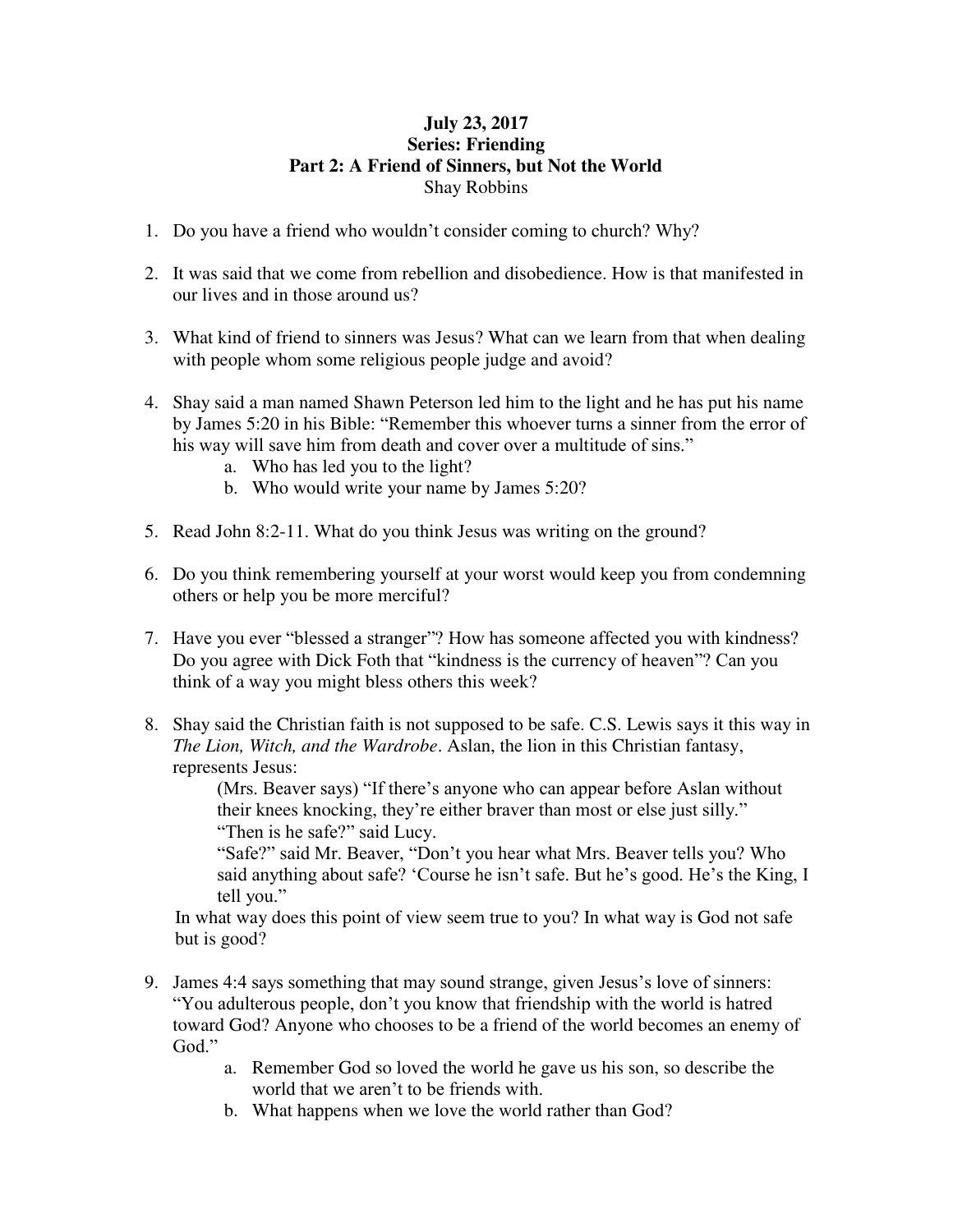## **July 23, 2017 Series: Friending Part 2: A Friend of Sinners, but Not the World**  Shay Robbins

- 1. Do you have a friend who wouldn't consider coming to church? Why?
- 2. It was said that we come from rebellion and disobedience. How is that manifested in our lives and in those around us?
- 3. What kind of friend to sinners was Jesus? What can we learn from that when dealing with people whom some religious people judge and avoid?
- 4. Shay said a man named Shawn Peterson led him to the light and he has put his name by James 5:20 in his Bible: "Remember this whoever turns a sinner from the error of his way will save him from death and cover over a multitude of sins."
	- a. Who has led you to the light?
	- b. Who would write your name by James 5:20?
- 5. Read John 8:2-11. What do you think Jesus was writing on the ground?
- 6. Do you think remembering yourself at your worst would keep you from condemning others or help you be more merciful?
- 7. Have you ever "blessed a stranger"? How has someone affected you with kindness? Do you agree with Dick Foth that "kindness is the currency of heaven"? Can you think of a way you might bless others this week?
- 8. Shay said the Christian faith is not supposed to be safe. C.S. Lewis says it this way in *The Lion, Witch, and the Wardrobe*. Aslan, the lion in this Christian fantasy, represents Jesus:

(Mrs. Beaver says) "If there's anyone who can appear before Aslan without their knees knocking, they're either braver than most or else just silly." "Then is he safe?" said Lucy.

"Safe?" said Mr. Beaver, "Don't you hear what Mrs. Beaver tells you? Who said anything about safe? 'Course he isn't safe. But he's good. He's the King, I tell you."

In what way does this point of view seem true to you? In what way is God not safe but is good?

- 9. James 4:4 says something that may sound strange, given Jesus's love of sinners: "You adulterous people, don't you know that friendship with the world is hatred toward God? Anyone who chooses to be a friend of the world becomes an enemy of God."
	- a. Remember God so loved the world he gave us his son, so describe the world that we aren't to be friends with.
	- b. What happens when we love the world rather than God?